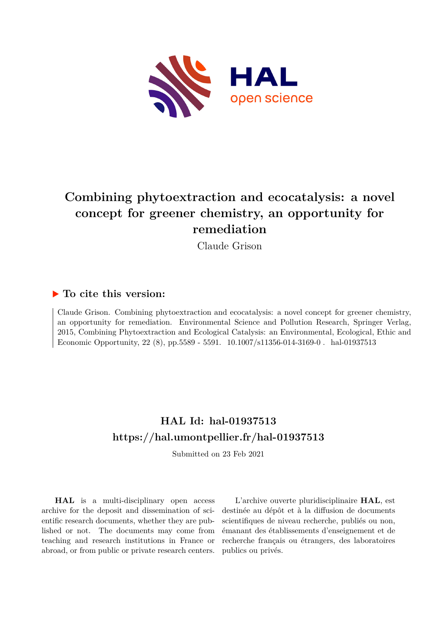

## **Combining phytoextraction and ecocatalysis: a novel concept for greener chemistry, an opportunity for remediation**

Claude Grison

## **To cite this version:**

Claude Grison. Combining phytoextraction and ecocatalysis: a novel concept for greener chemistry, an opportunity for remediation. Environmental Science and Pollution Research, Springer Verlag, 2015, Combining Phytoextraction and Ecological Catalysis: an Environmental, Ecological, Ethic and Economic Opportunity, 22 (8), pp.5589 - 5591. 10.1007/s11356-014-3169-0. hal-01937513

## **HAL Id: hal-01937513 <https://hal.umontpellier.fr/hal-01937513>**

Submitted on 23 Feb 2021

**HAL** is a multi-disciplinary open access archive for the deposit and dissemination of scientific research documents, whether they are published or not. The documents may come from teaching and research institutions in France or abroad, or from public or private research centers.

L'archive ouverte pluridisciplinaire **HAL**, est destinée au dépôt et à la diffusion de documents scientifiques de niveau recherche, publiés ou non, émanant des établissements d'enseignement et de recherche français ou étrangers, des laboratoires publics ou privés.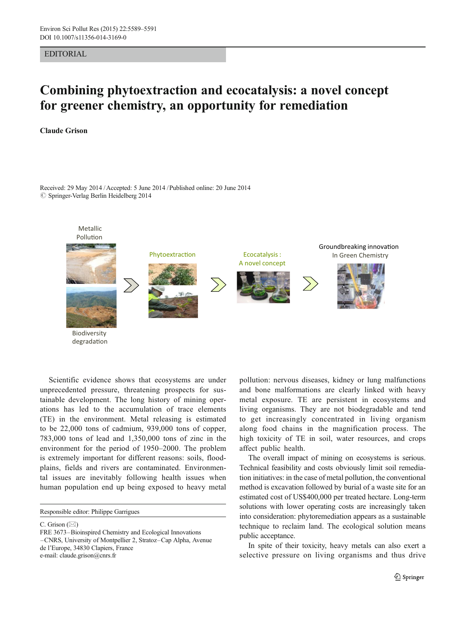EDITORIAL

## Combining phytoextraction and ecocatalysis: a novel concept for greener chemistry, an opportunity for remediation

Claude Grison

Received: 29 May 2014 /Accepted: 5 June 2014 /Published online: 20 June 2014  $\oslash$  Springer-Verlag Berlin Heidelberg 2014



Scientific evidence shows that ecosystems are under unprecedented pressure, threatening prospects for sustainable development. The long history of mining operations has led to the accumulation of trace elements (TE) in the environment. Metal releasing is estimated to be 22,000 tons of cadmium, 939,000 tons of copper, 783,000 tons of lead and 1,350,000 tons of zinc in the environment for the period of 1950–2000. The problem is extremely important for different reasons: soils, floodplains, fields and rivers are contaminated. Environmental issues are inevitably following health issues when human population end up being exposed to heavy metal

C. Grison  $(\boxtimes)$ 

pollution: nervous diseases, kidney or lung malfunctions and bone malformations are clearly linked with heavy metal exposure. TE are persistent in ecosystems and living organisms. They are not biodegradable and tend to get increasingly concentrated in living organism along food chains in the magnification process. The high toxicity of TE in soil, water resources, and crops affect public health.

The overall impact of mining on ecosystems is serious. Technical feasibility and costs obviously limit soil remediation initiatives: in the case of metal pollution, the conventional method is excavation followed by burial of a waste site for an estimated cost of US\$400,000 per treated hectare. Long-term solutions with lower operating costs are increasingly taken into consideration: phytoremediation appears as a sustainable technique to reclaim land. The ecological solution means public acceptance.

In spite of their toxicity, heavy metals can also exert a selective pressure on living organisms and thus drive

Responsible editor: Philippe Garrigues

FRE 3673–Bioinspired Chemistry and Ecological Innovations –CNRS, University of Montpellier 2, Stratoz–Cap Alpha, Avenue de l'Europe, 34830 Clapiers, France e-mail: claude.grison@cnrs.fr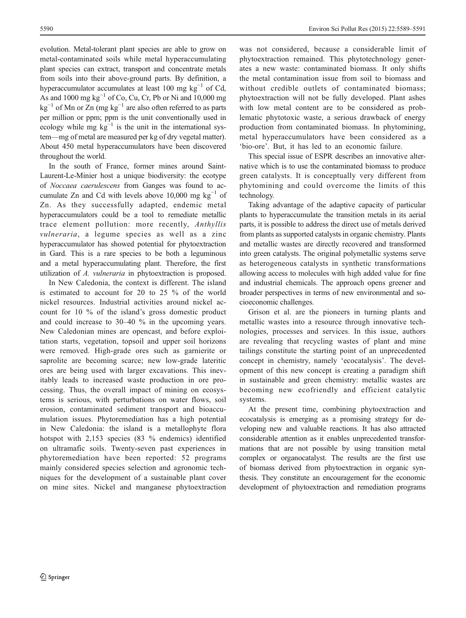evolution. Metal-tolerant plant species are able to grow on metal-contaminated soils while metal hyperaccumulating plant species can extract, transport and concentrate metals from soils into their above-ground parts. By definition, a hyperaccumulator accumulates at least 100 mg  $kg^{-1}$  of Cd, As and 1000 mg  $kg^{-1}$  of Co, Cu, Cr, Pb or Ni and 10,000 mg  $kg^{-1}$  of Mn or Zn (mg  $kg^{-1}$  are also often referred to as parts per million or ppm; ppm is the unit conventionally used in ecology while mg  $kg^{-1}$  is the unit in the international system—mg of metal are measured per kg of dry vegetal matter). About 450 metal hyperaccumulators have been discovered throughout the world.

In the south of France, former mines around Saint-Laurent-Le-Minier host a unique biodiversity: the ecotype of Noccaea caerulescens from Ganges was found to accumulate Zn and Cd with levels above 10,000 mg  $kg^{-1}$  of Zn. As they successfully adapted, endemic metal hyperaccumulators could be a tool to remediate metallic trace element pollution: more recently, Anthyllis vulneraria, a legume species as well as a zinc hyperaccumulator has showed potential for phytoextraction in Gard. This is a rare species to be both a leguminous and a metal hyperaccumulating plant. Therefore, the first utilization of A. vulneraria in phytoextraction is proposed.

In New Caledonia, the context is different. The island is estimated to account for 20 to 25 % of the world nickel resources. Industrial activities around nickel account for 10 % of the island's gross domestic product and could increase to 30–40 % in the upcoming years. New Caledonian mines are opencast, and before exploitation starts, vegetation, topsoil and upper soil horizons were removed. High-grade ores such as garnierite or saprolite are becoming scarce; new low-grade lateritic ores are being used with larger excavations. This inevitably leads to increased waste production in ore processing. Thus, the overall impact of mining on ecosystems is serious, with perturbations on water flows, soil erosion, contaminated sediment transport and bioaccumulation issues. Phytoremediation has a high potential in New Caledonia: the island is a metallophyte flora hotspot with 2,153 species (83 % endemics) identified on ultramafic soils. Twenty-seven past experiences in phytoremediation have been reported: 52 programs mainly considered species selection and agronomic techniques for the development of a sustainable plant cover on mine sites. Nickel and manganese phytoextraction

was not considered, because a considerable limit of phytoextraction remained. This phytotechnology generates a new waste: contaminated biomass. It only shifts the metal contamination issue from soil to biomass and without credible outlets of contaminated biomass: phytoextraction will not be fully developed. Plant ashes with low metal content are to be considered as problematic phytotoxic waste, a serious drawback of energy production from contaminated biomass. In phytomining, metal hyperaccumulators have been considered as a 'bio-ore'. But, it has led to an economic failure.

This special issue of ESPR describes an innovative alternative which is to use the contaminated biomass to produce green catalysts. It is conceptually very different from phytomining and could overcome the limits of this technology.

Taking advantage of the adaptive capacity of particular plants to hyperaccumulate the transition metals in its aerial parts, it is possible to address the direct use of metals derived from plants as supported catalysts in organic chemistry. Plants and metallic wastes are directly recovered and transformed into green catalysts. The original polymetallic systems serve as heterogeneous catalysts in synthetic transformations allowing access to molecules with high added value for fine and industrial chemicals. The approach opens greener and broader perspectives in terms of new environmental and socioeconomic challenges.

Grison et al. are the pioneers in turning plants and metallic wastes into a resource through innovative technologies, processes and services. In this issue, authors are revealing that recycling wastes of plant and mine tailings constitute the starting point of an unprecedented concept in chemistry, namely 'ecocatalysis'. The development of this new concept is creating a paradigm shift in sustainable and green chemistry: metallic wastes are becoming new ecofriendly and efficient catalytic systems.

At the present time, combining phytoextraction and ecocatalysis is emerging as a promising strategy for developing new and valuable reactions. It has also attracted considerable attention as it enables unprecedented transformations that are not possible by using transition metal complex or organocatalyst. The results are the first use of biomass derived from phytoextraction in organic synthesis. They constitute an encouragement for the economic development of phytoextraction and remediation programs